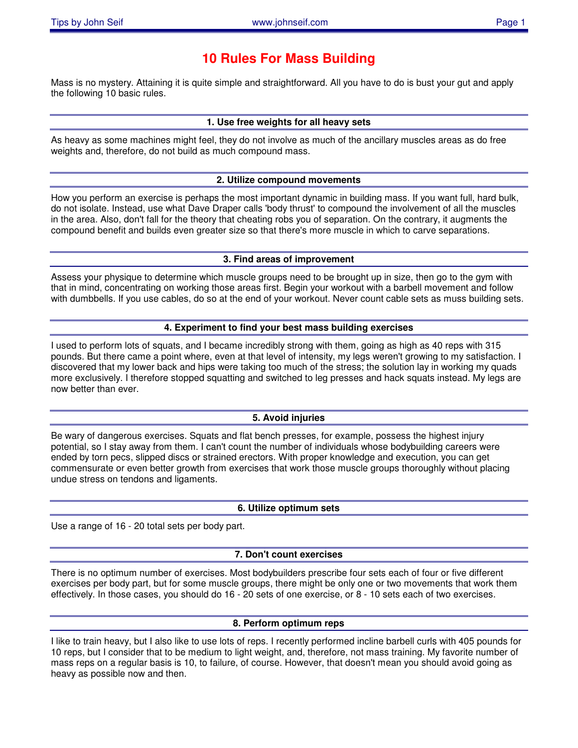# **10 Rules For Mass Building**

Mass is no mystery. Attaining it is quite simple and straightforward. All you have to do is bust your gut and apply the following 10 basic rules.

## **1. Use free weights for all heavy sets**

As heavy as some machines might feel, they do not involve as much of the ancillary muscles areas as do free weights and, therefore, do not build as much compound mass.

### **2. Utilize compound movements**

How you perform an exercise is perhaps the most important dynamic in building mass. If you want full, hard bulk, do not isolate. Instead, use what Dave Draper calls 'body thrust' to compound the involvement of all the muscles in the area. Also, don't fall for the theory that cheating robs you of separation. On the contrary, it augments the compound benefit and builds even greater size so that there's more muscle in which to carve separations.

### **3. Find areas of improvement**

Assess your physique to determine which muscle groups need to be brought up in size, then go to the gym with that in mind, concentrating on working those areas first. Begin your workout with a barbell movement and follow with dumbbells. If you use cables, do so at the end of your workout. Never count cable sets as muss building sets.

#### **4. Experiment to find your best mass building exercises**

I used to perform lots of squats, and I became incredibly strong with them, going as high as 40 reps with 315 pounds. But there came a point where, even at that level of intensity, my legs weren't growing to my satisfaction. I discovered that my lower back and hips were taking too much of the stress; the solution lay in working my quads more exclusively. I therefore stopped squatting and switched to leg presses and hack squats instead. My legs are now better than ever.

### **5. Avoid injuries**

Be wary of dangerous exercises. Squats and flat bench presses, for example, possess the highest injury potential, so I stay away from them. I can't count the number of individuals whose bodybuilding careers were ended by torn pecs, slipped discs or strained erectors. With proper knowledge and execution, you can get commensurate or even better growth from exercises that work those muscle groups thoroughly without placing undue stress on tendons and ligaments.

### **6. Utilize optimum sets**

Use a range of 16 - 20 total sets per body part.

### **7. Don't count exercises**

There is no optimum number of exercises. Most bodybuilders prescribe four sets each of four or five different exercises per body part, but for some muscle groups, there might be only one or two movements that work them effectively. In those cases, you should do 16 - 20 sets of one exercise, or 8 - 10 sets each of two exercises.

### **8. Perform optimum reps**

I like to train heavy, but I also like to use lots of reps. I recently performed incline barbell curls with 405 pounds for 10 reps, but I consider that to be medium to light weight, and, therefore, not mass training. My favorite number of mass reps on a regular basis is 10, to failure, of course. However, that doesn't mean you should avoid going as heavy as possible now and then.